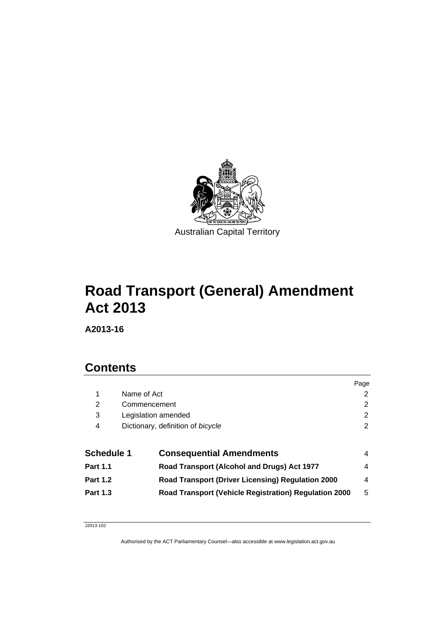

# **Road Transport (General) Amendment Act 2013**

**A2013-16** 

## **Contents**

|                     |                                                              | Page                                             |
|---------------------|--------------------------------------------------------------|--------------------------------------------------|
|                     |                                                              | 2                                                |
| Commencement        |                                                              | 2                                                |
| Legislation amended |                                                              | 2                                                |
|                     |                                                              | 2                                                |
|                     |                                                              |                                                  |
| <b>Schedule 1</b>   | <b>Consequential Amendments</b>                              | 4                                                |
|                     | Road Transport (Alcohol and Drugs) Act 1977                  | 4                                                |
|                     | Road Transport (Driver Licensing) Regulation 2000            | 4                                                |
|                     | <b>Road Transport (Vehicle Registration) Regulation 2000</b> | 5                                                |
|                     |                                                              | Name of Act<br>Dictionary, definition of bicycle |

J2013-102

Authorised by the ACT Parliamentary Counsel—also accessible at www.legislation.act.gov.au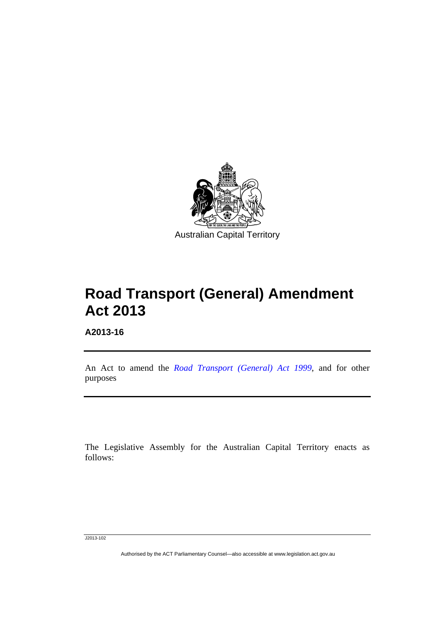

# **Road Transport (General) Amendment Act 2013**

**A2013-16** 

Ī

An Act to amend the *[Road Transport \(General\) Act 1999](http://www.legislation.act.gov.au/a/1999-77)*, and for other purposes

The Legislative Assembly for the Australian Capital Territory enacts as follows:

J2013-102

Authorised by the ACT Parliamentary Counsel—also accessible at www.legislation.act.gov.au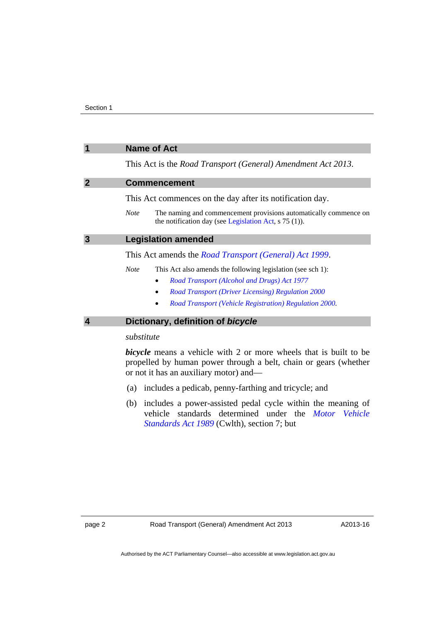<span id="page-3-2"></span><span id="page-3-1"></span><span id="page-3-0"></span>

|                            | <b>Name of Act</b>                                                                                                                           |  |  |
|----------------------------|----------------------------------------------------------------------------------------------------------------------------------------------|--|--|
|                            | This Act is the <i>Road Transport (General) Amendment Act 2013</i> .                                                                         |  |  |
| $\boldsymbol{\mathcal{P}}$ | <b>Commencement</b>                                                                                                                          |  |  |
|                            | This Act commences on the day after its notification day.                                                                                    |  |  |
|                            | The naming and commencement provisions automatically commence on<br><b>Note</b><br>the notification day (see Legislation Act, $s$ 75 (1)).   |  |  |
| $\mathbf{3}$               | <b>Legislation amended</b>                                                                                                                   |  |  |
|                            | This Act amends the <i>Road Transport (General) Act 1999</i> .                                                                               |  |  |
|                            | <b>Note</b><br>This Act also amends the following legislation (see sch 1):                                                                   |  |  |
|                            | Road Transport (Alcohol and Drugs) Act 1977                                                                                                  |  |  |
|                            | Road Transport (Driver Licensing) Regulation 2000                                                                                            |  |  |
|                            | Road Transport (Vehicle Registration) Regulation 2000.                                                                                       |  |  |
| 4                          | Dictionary, definition of bicycle                                                                                                            |  |  |
|                            | substitute                                                                                                                                   |  |  |
|                            | <i>bicycle</i> means a vehicle with 2 or more wheels that is built to be<br>propelled by human power through a belt, chain or gears (whether |  |  |

<span id="page-3-3"></span>or not it has an auxiliary motor) and— (a) includes a pedicab, penny-farthing and tricycle; and

 (b) includes a power-assisted pedal cycle within the meaning of vehicle standards determined under the *[Motor Vehicle](http://www.comlaw.gov.au/Details/C2012C00175)  [Standards Act 1989](http://www.comlaw.gov.au/Details/C2012C00175)* (Cwlth), section 7; but

A2013-16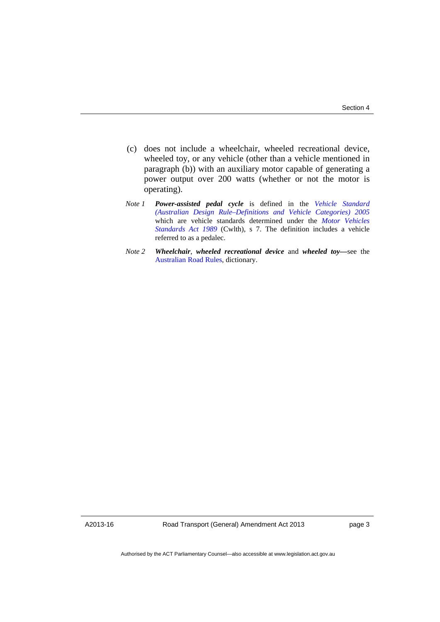- (c) does not include a wheelchair, wheeled recreational device, wheeled toy, or any vehicle (other than a vehicle mentioned in paragraph (b)) with an auxiliary motor capable of generating a power output over 200 watts (whether or not the motor is operating).
- *Note 1 Power-assisted pedal cycle* is defined in the *[Vehicle Standard](http://www.comlaw.gov.au/Details/F2012C00326)  [\(Australian Design Rule–Definitions and Vehicle Categories\) 2005](http://www.comlaw.gov.au/Details/F2012C00326)* which are vehicle standards determined under the *[Motor Vehicles](http://www.comlaw.gov.au/Details/C2012C00175)  [Standards Act 1989](http://www.comlaw.gov.au/Details/C2012C00175)* (Cwlth), s 7. The definition includes a vehicle referred to as a pedalec.
- *Note 2 Wheelchair*, *wheeled recreational device* and *wheeled toy—*see the [Australian Road Rules,](http://www.legislation.act.gov.au//ni/db_37271/default.asp) dictionary.

A2013-16

Road Transport (General) Amendment Act 2013

page 3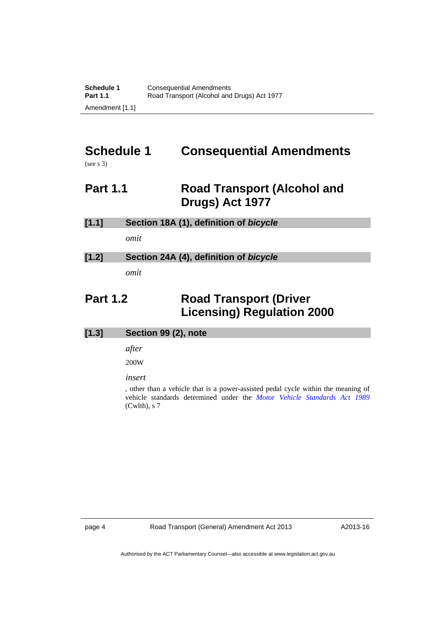# <span id="page-5-0"></span>**Schedule 1 Consequential Amendments**

(see s 3)

## <span id="page-5-1"></span>**Part 1.1** Road Transport (Alcohol and **Drugs) Act 1977**

| [1.1] | Section 18A (1), definition of bicycle |  |
|-------|----------------------------------------|--|
|       | omit                                   |  |
| [1.2] | Section 24A (4), definition of bicycle |  |
|       | omit                                   |  |

## <span id="page-5-2"></span>**Part 1.2 Road Transport (Driver Licensing) Regulation 2000**

| [1.3] | Section 99 (2), note |  |  |
|-------|----------------------|--|--|
|       | after                |  |  |
|       | 200W                 |  |  |
|       | insert               |  |  |

, other than a vehicle that is a power-assisted pedal cycle within the meaning of vehicle standards determined under the *[Motor Vehicle Standards Act 1989](http://www.comlaw.gov.au/Details/C2012C00175)* (Cwlth), s 7